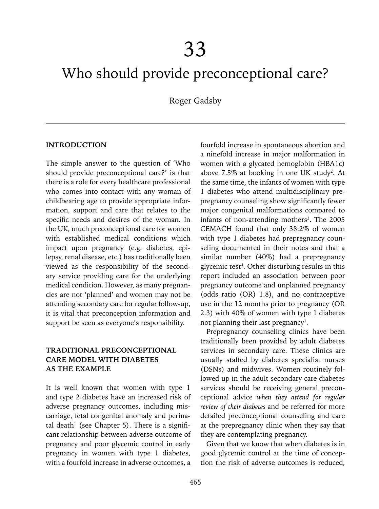# Who should provide preconceptional care?

Roger Gadsby

#### **INTRODUCTION**

The simple answer to the question of 'Who should provide preconceptional care?' is that there is a role for every healthcare professional who comes into contact with any woman of childbearing age to provide appropriate information, support and care that relates to the specific needs and desires of the woman. In the UK, much preconceptional care for women with established medical conditions which impact upon pregnancy (e.g. diabetes, epilepsy, renal disease, etc.) has traditionally been viewed as the responsibility of the secondary service providing care for the underlying medical condition. However, as many pregnancies are not 'planned' and women may not be attending secondary care for regular follow-up, it is vital that preconception information and support be seen as everyone's responsibility.

## **TRADITIONAL PRECONCEPTIONal CARE MODEL WITH DIABETES AS THE EXAMPLE**

It is well known that women with type 1 and type 2 diabetes have an increased risk of adverse pregnancy outcomes, including miscarriage, fetal congenital anomaly and perinatal death<sup>1</sup> (see Chapter 5). There is a significant relationship between adverse outcome of pregnancy and poor glycemic control in early pregnancy in women with type 1 diabetes, with a fourfold increase in adverse outcomes, a fourfold increase in spontaneous abortion and a ninefold increase in major malformation in women with a glycated hemoglobin (HBA1c) above  $7.5\%$  at booking in one UK study<sup>2</sup>. At the same time, the infants of women with type 1 diabetes who attend multidisciplinary prepregnancy counseling show significantly fewer major congenital malformations compared to infants of non-attending mothers<sup>3</sup>. The 2005 CEMACH found that only 38.2% of women with type 1 diabetes had prepregnancy counseling documented in their notes and that a similar number (40%) had a prepregnancy glycemic test<sup>4</sup>. Other disturbing results in this report included an association between poor pregnancy outcome and unplanned pregnancy (odds ratio (OR) 1.8), and no contraceptive use in the 12 months prior to pregnancy (OR 2.3) with 40% of women with type 1 diabetes not planning their last pregnancy<sup>1</sup>.

Prepregnancy counseling clinics have been traditionally been provided by adult diabetes services in secondary care. These clinics are usually staffed by diabetes specialist nurses (DSNs) and midwives. Women routinely followed up in the adult secondary care diabetes services should be receiving general preconceptional advice *when they attend for regular review of their diabetes* and be referred for more detailed preconceptional counseling and care at the prepregnancy clinic when they say that they are contemplating pregnancy.

Given that we know that when diabetes is in good glycemic control at the time of conception the risk of adverse outcomes is reduced,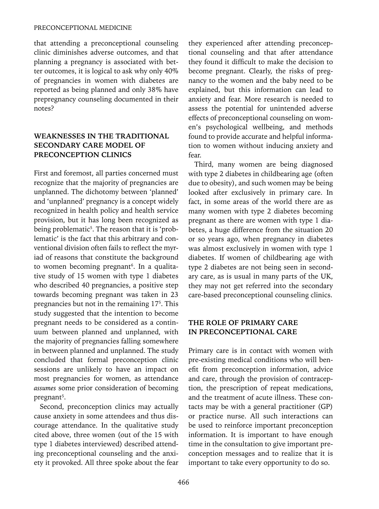that attending a preconceptional counseling clinic diminishes adverse outcomes, and that planning a pregnancy is associated with better outcomes, it is logical to ask why only 40% of pregnancies in women with diabetes are reported as being planned and only 38% have prepregnancy counseling documented in their notes?

## **WEAKNESSES IN THE TRADITIONAL SECONDARY CARE MODEL OF PRECONCEPTION CLINICS**

First and foremost, all parties concerned must recognize that the majority of pregnancies are unplanned. The dichotomy between 'planned' and 'unplanned' pregnancy is a concept widely recognized in health policy and health service provision, but it has long been recognized as being problematic<sup>5</sup>. The reason that it is 'problematic' is the fact that this arbitrary and conventional division often fails to reflect the myriad of reasons that constitute the background to women becoming pregnant<sup>6</sup>. In a qualitative study of 15 women with type 1 diabetes who described 40 pregnancies, a positive step towards becoming pregnant was taken in 23 pregnancies but not in the remaining 175 . This study suggested that the intention to become pregnant needs to be considered as a continuum between planned and unplanned, with the majority of pregnancies falling somewhere in between planned and unplanned. The study concluded that formal preconception clinic sessions are unlikely to have an impact on most pregnancies for women, as attendance *assumes* some prior consideration of becoming pregnant<sup>5</sup>.

Second, preconception clinics may actually cause anxiety in some attendees and thus discourage attendance. In the qualitative study cited above, three women (out of the 15 with type 1 diabetes interviewed) described attending preconceptional counseling and the anxiety it provoked. All three spoke about the fear they experienced after attending preconceptional counseling and that after attendance they found it difficult to make the decision to become pregnant. Clearly, the risks of pregnancy to the women and the baby need to be explained, but this information can lead to anxiety and fear. More research is needed to assess the potential for unintended adverse effects of preconceptional counseling on women's psychological wellbeing, and methods found to provide accurate and helpful information to women without inducing anxiety and fear.

Third, many women are being diagnosed with type 2 diabetes in childbearing age (often due to obesity), and such women may be being looked after exclusively in primary care. In fact, in some areas of the world there are as many women with type 2 diabetes becoming pregnant as there are women with type 1 diabetes, a huge difference from the situation 20 or so years ago, when pregnancy in diabetes was almost exclusively in women with type 1 diabetes. If women of childbearing age with type 2 diabetes are not being seen in secondary care, as is usual in many parts of the UK, they may not get referred into the secondary care-based preconceptional counseling clinics.

# **THE ROLE OF PRIMARY CARE IN PRECONCEPTIONal CARE**

Primary care is in contact with women with pre-existing medical conditions who will benefit from preconception information, advice and care, through the provision of contraception, the prescription of repeat medications, and the treatment of acute illness. These contacts may be with a general practitioner (GP) or practice nurse. All such interactions can be used to reinforce important preconception information. It is important to have enough time in the consultation to give important preconception messages and to realize that it is important to take every opportunity to do so.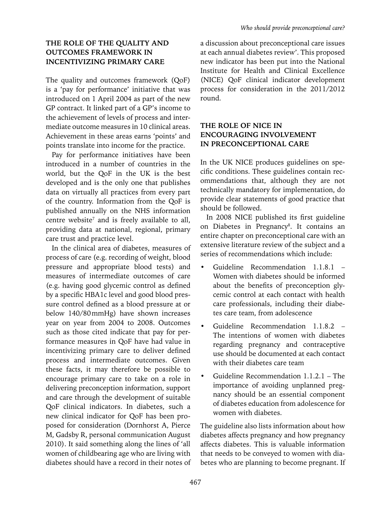# **THE ROLE OF THE QUALITY AND OUTCOMES FRAMEWORK IN INCENTIVIZING PRIMARY CARE**

The quality and outcomes framework (QoF) is a 'pay for performance' initiative that was introduced on 1 April 2004 as part of the new GP contract. It linked part of a GP's income to the achievement of levels of process and intermediate outcome measures in 10 clinical areas. Achievement in these areas earns 'points' and points translate into income for the practice.

Pay for performance initiatives have been introduced in a number of countries in the world, but the QoF in the UK is the best developed and is the only one that publishes data on virtually all practices from every part of the country. Information from the QoF is published annually on the NHS information centre website<sup>7</sup> and is freely available to all, providing data at national, regional, primary care trust and practice level.

In the clinical area of diabetes, measures of process of care (e.g. recording of weight, blood pressure and appropriate blood tests) and measures of intermediate outcomes of care (e.g. having good glycemic control as defined by a specific HBA1c level and good blood pressure control defined as a blood pressure at or below 140/80mmHg) have shown increases year on year from 2004 to 2008. Outcomes such as those cited indicate that pay for performance measures in QoF have had value in incentivizing primary care to deliver defined process and intermediate outcomes. Given these facts, it may therefore be possible to encourage primary care to take on a role in delivering preconception information, support and care through the development of suitable QoF clinical indicators. In diabetes, such a new clinical indicator for QoF has been proposed for consideration (Dornhorst A, Pierce M, Gadsby R, personal communication August 2010). It said something along the lines of 'all women of childbearing age who are living with diabetes should have a record in their notes of

a discussion about preconceptional care issues at each annual diabetes review'. This proposed new indicator has been put into the National Institute for Health and Clinical Excellence (NICE) QoF clinical indicator development process for consideration in the 2011/2012 round.

# **THE ROLE OF NICE IN ENCOURAGING INVOLVEMENT IN PRECONCEPTIONal CARE**

In the UK NICE produces guidelines on specific conditions. These guidelines contain recommendations that, although they are not technically mandatory for implementation, do provide clear statements of good practice that should be followed.

In 2008 NICE published its first guideline on Diabetes in Pregnancy<sup>8</sup>. It contains an entire chapter on preconceptional care with an extensive literature review of the subject and a series of recommendations which include:

- Guideline Recommendation 1.1.8.1 Women with diabetes should be informed about the benefits of preconception glycemic control at each contact with health care professionals, including their diabetes care team, from adolescence
- Guideline Recommendation 1.1.8.2 The intentions of women with diabetes regarding pregnancy and contraceptive use should be documented at each contact with their diabetes care team
- Guideline Recommendation 1.1.2.1 The importance of avoiding unplanned pregnancy should be an essential component of diabetes education from adolescence for women with diabetes.

The guideline also lists information about how diabetes affects pregnancy and how pregnancy affects diabetes. This is valuable information that needs to be conveyed to women with diabetes who are planning to become pregnant. If